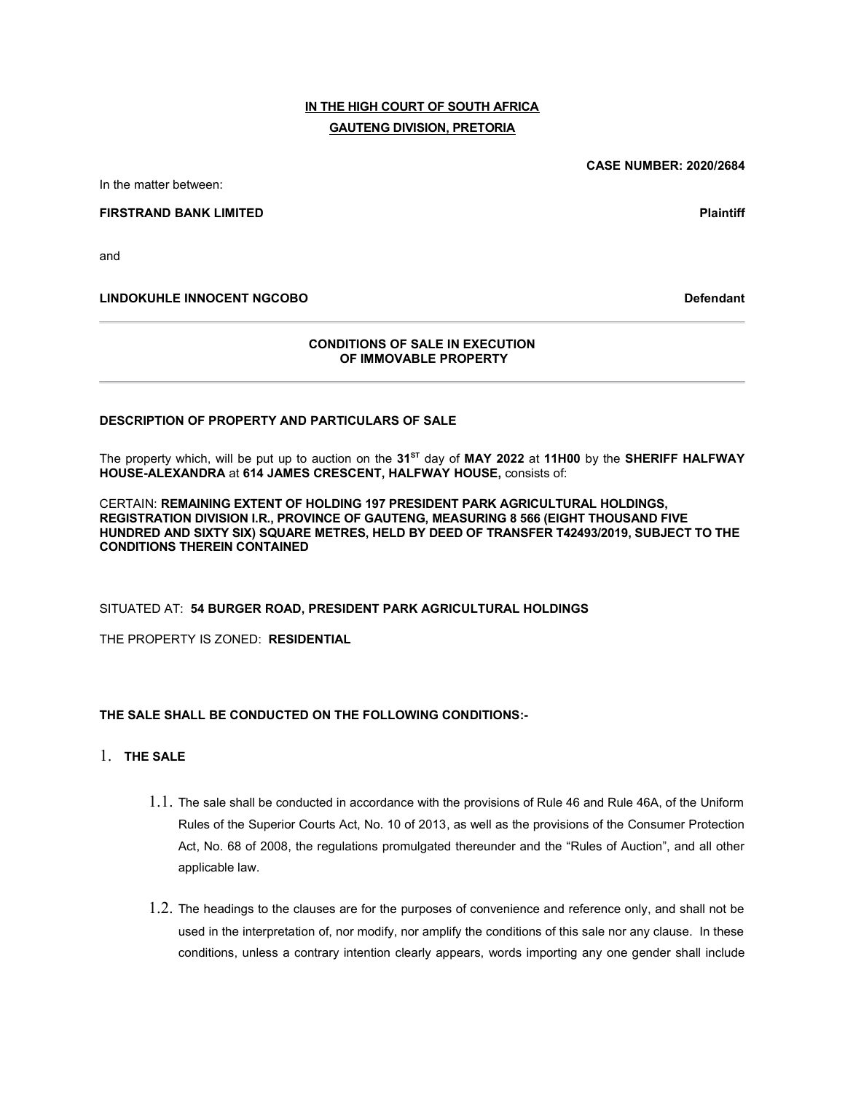# IN THE HIGH COURT OF SOUTH AFRICA GAUTENG DIVISION, PRETORIA

In the matter between:

FIRSTRAND BANK LIMITED **Plaintiff** 

and

LINDOKUHLE INNOCENT NGCOBO Defendant

#### CONDITIONS OF SALE IN EXECUTION OF IMMOVABLE PROPERTY

#### DESCRIPTION OF PROPERTY AND PARTICULARS OF SALE

The property which, will be put up to auction on the  $31<sup>ST</sup>$  day of MAY 2022 at 11H00 by the SHERIFF HALFWAY HOUSE-ALEXANDRA at 614 JAMES CRESCENT, HALFWAY HOUSE, consists of:

CERTAIN: REMAINING EXTENT OF HOLDING 197 PRESIDENT PARK AGRICULTURAL HOLDINGS, REGISTRATION DIVISION I.R., PROVINCE OF GAUTENG, MEASURING 8 566 (EIGHT THOUSAND FIVE HUNDRED AND SIXTY SIX) SQUARE METRES, HELD BY DEED OF TRANSFER T42493/2019, SUBJECT TO THE CONDITIONS THEREIN CONTAINED

#### SITUATED AT: 54 BURGER ROAD, PRESIDENT PARK AGRICULTURAL HOLDINGS

THE PROPERTY IS ZONED: RESIDENTIAL

#### THE SALE SHALL BE CONDUCTED ON THE FOLLOWING CONDITIONS:-

- 1. THE SALE
	- 1.1. The sale shall be conducted in accordance with the provisions of Rule 46 and Rule 46A, of the Uniform Rules of the Superior Courts Act, No. 10 of 2013, as well as the provisions of the Consumer Protection Act, No. 68 of 2008, the regulations promulgated thereunder and the "Rules of Auction", and all other applicable law.
	- 1.2. The headings to the clauses are for the purposes of convenience and reference only, and shall not be used in the interpretation of, nor modify, nor amplify the conditions of this sale nor any clause. In these conditions, unless a contrary intention clearly appears, words importing any one gender shall include

CASE NUMBER: 2020/2684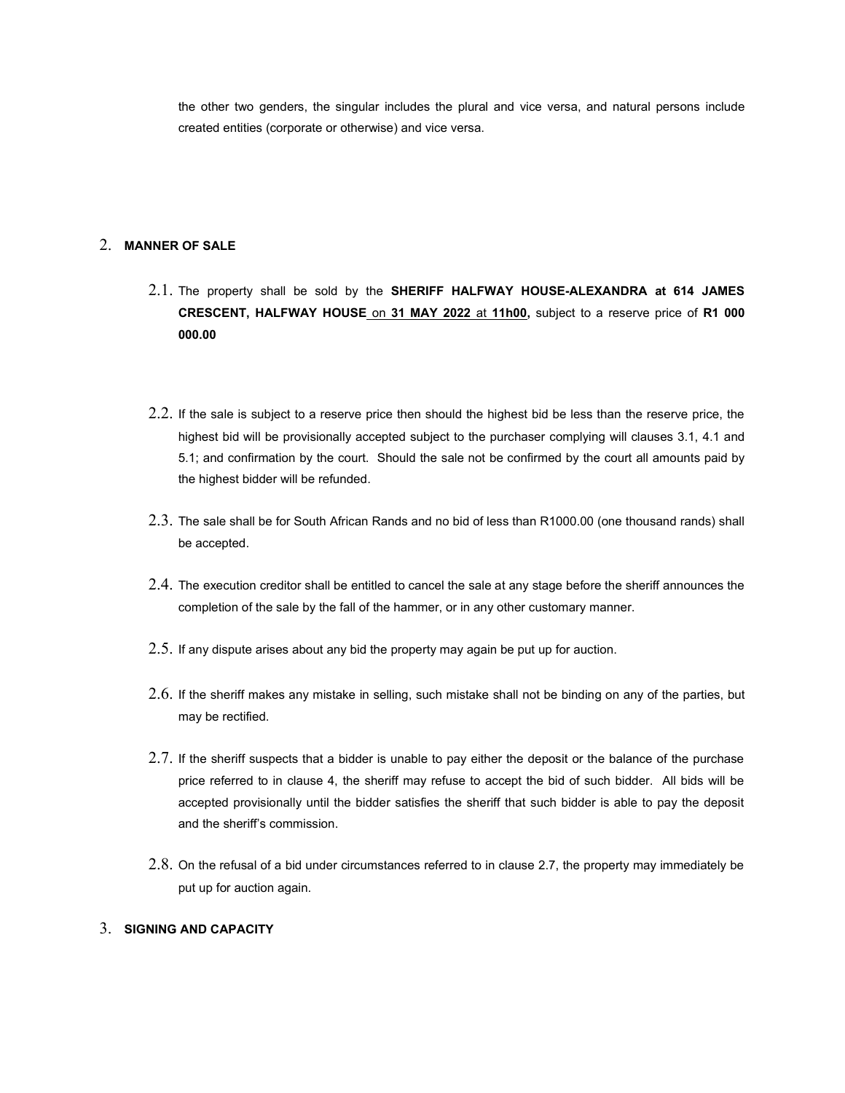the other two genders, the singular includes the plural and vice versa, and natural persons include created entities (corporate or otherwise) and vice versa.

### 2. MANNER OF SALE

- 2.1. The property shall be sold by the SHERIFF HALFWAY HOUSE-ALEXANDRA at 614 JAMES CRESCENT, HALFWAY HOUSE on 31 MAY 2022 at 11h00, subject to a reserve price of R1 000 000.00
- 2.2. If the sale is subject to a reserve price then should the highest bid be less than the reserve price, the highest bid will be provisionally accepted subject to the purchaser complying will clauses 3.1, 4.1 and 5.1; and confirmation by the court. Should the sale not be confirmed by the court all amounts paid by the highest bidder will be refunded.
- 2.3. The sale shall be for South African Rands and no bid of less than R1000.00 (one thousand rands) shall be accepted.
- 2.4. The execution creditor shall be entitled to cancel the sale at any stage before the sheriff announces the completion of the sale by the fall of the hammer, or in any other customary manner.
- 2.5. If any dispute arises about any bid the property may again be put up for auction.
- 2.6. If the sheriff makes any mistake in selling, such mistake shall not be binding on any of the parties, but may be rectified.
- 2.7. If the sheriff suspects that a bidder is unable to pay either the deposit or the balance of the purchase price referred to in clause 4, the sheriff may refuse to accept the bid of such bidder. All bids will be accepted provisionally until the bidder satisfies the sheriff that such bidder is able to pay the deposit and the sheriff's commission.
- 2.8. On the refusal of a bid under circumstances referred to in clause 2.7, the property may immediately be put up for auction again.

### 3. SIGNING AND CAPACITY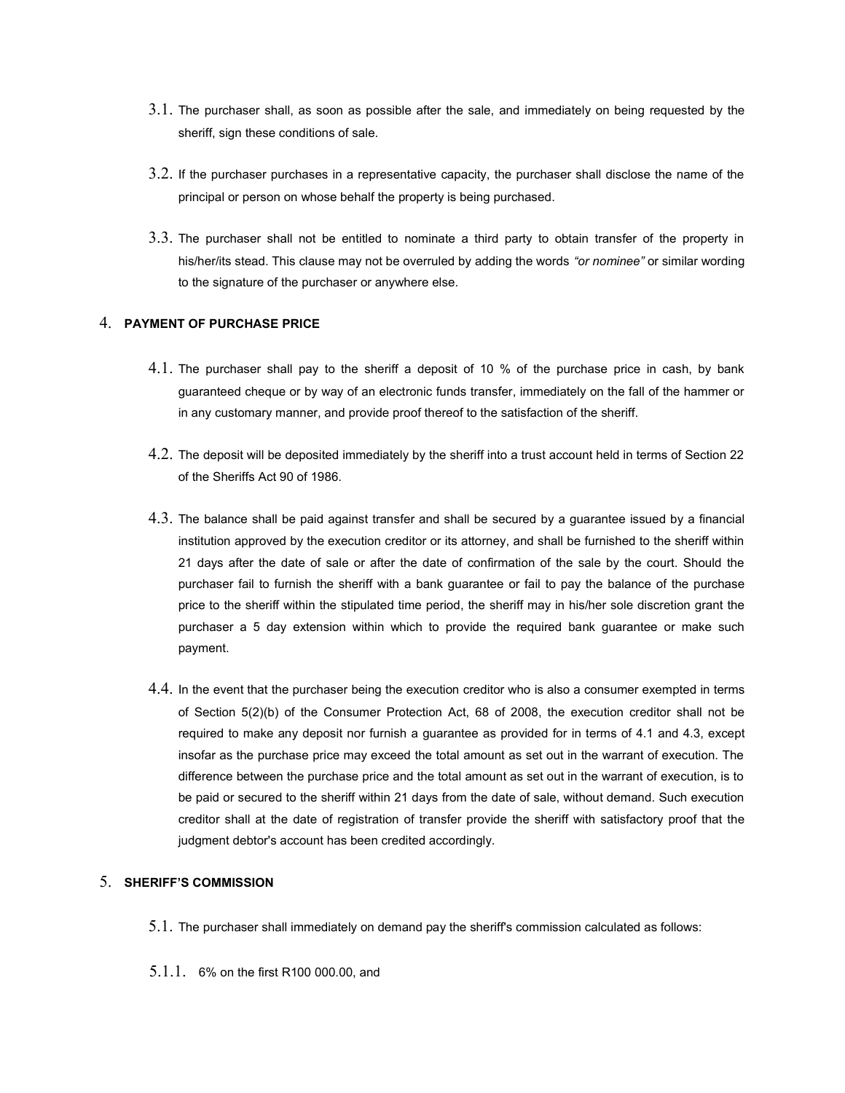- 3.1. The purchaser shall, as soon as possible after the sale, and immediately on being requested by the sheriff, sign these conditions of sale.
- 3.2. If the purchaser purchases in a representative capacity, the purchaser shall disclose the name of the principal or person on whose behalf the property is being purchased.
- 3.3. The purchaser shall not be entitled to nominate a third party to obtain transfer of the property in his/her/its stead. This clause may not be overruled by adding the words "or nominee" or similar wording to the signature of the purchaser or anywhere else.

### 4. PAYMENT OF PURCHASE PRICE

- 4.1. The purchaser shall pay to the sheriff a deposit of 10 % of the purchase price in cash, by bank guaranteed cheque or by way of an electronic funds transfer, immediately on the fall of the hammer or in any customary manner, and provide proof thereof to the satisfaction of the sheriff.
- 4.2. The deposit will be deposited immediately by the sheriff into a trust account held in terms of Section 22 of the Sheriffs Act 90 of 1986.
- 4.3. The balance shall be paid against transfer and shall be secured by a guarantee issued by a financial institution approved by the execution creditor or its attorney, and shall be furnished to the sheriff within 21 days after the date of sale or after the date of confirmation of the sale by the court. Should the purchaser fail to furnish the sheriff with a bank guarantee or fail to pay the balance of the purchase price to the sheriff within the stipulated time period, the sheriff may in his/her sole discretion grant the purchaser a 5 day extension within which to provide the required bank guarantee or make such payment.
- 4.4. In the event that the purchaser being the execution creditor who is also a consumer exempted in terms of Section 5(2)(b) of the Consumer Protection Act, 68 of 2008, the execution creditor shall not be required to make any deposit nor furnish a guarantee as provided for in terms of 4.1 and 4.3, except insofar as the purchase price may exceed the total amount as set out in the warrant of execution. The difference between the purchase price and the total amount as set out in the warrant of execution, is to be paid or secured to the sheriff within 21 days from the date of sale, without demand. Such execution creditor shall at the date of registration of transfer provide the sheriff with satisfactory proof that the judgment debtor's account has been credited accordingly.

### 5. SHERIFF'S COMMISSION

- 5.1. The purchaser shall immediately on demand pay the sheriff's commission calculated as follows:
- 5.1.1. 6% on the first R100 000.00, and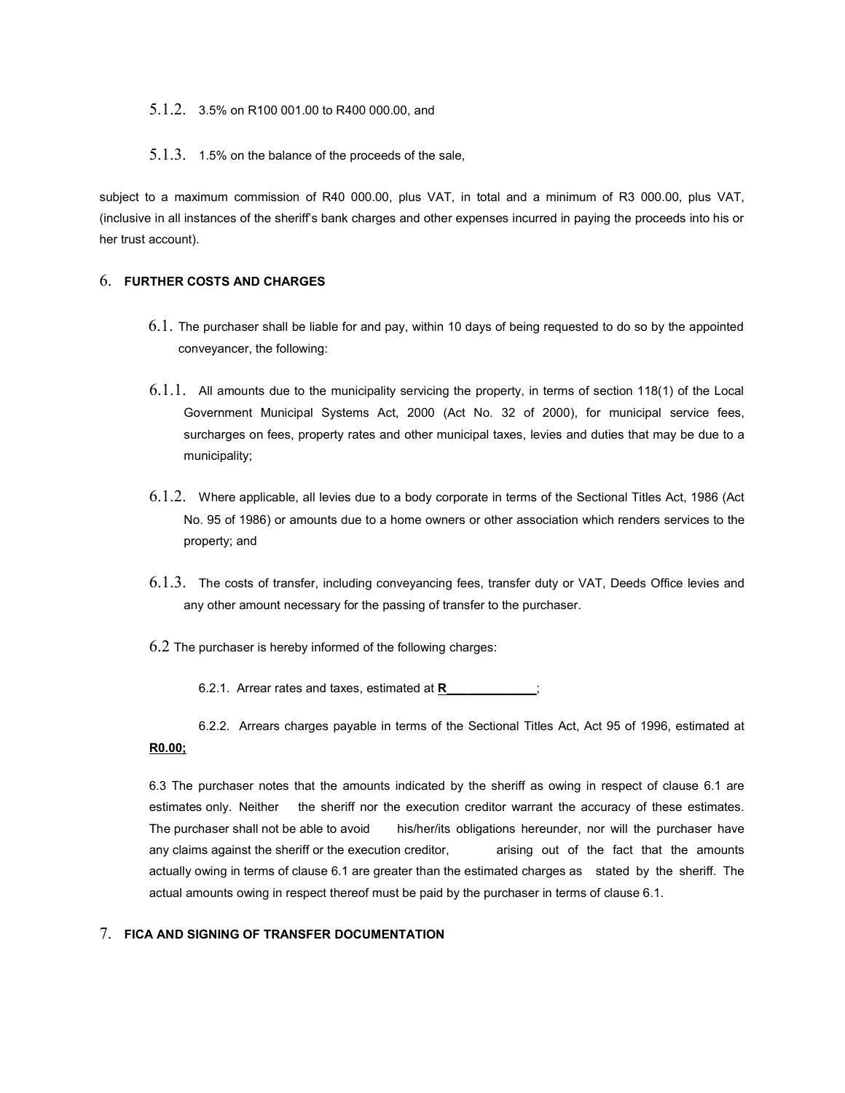#### 5.1.2. 3.5% on R100 001.00 to R400 000.00, and

#### 5.1.3. 1.5% on the balance of the proceeds of the sale,

subject to a maximum commission of R40 000.00, plus VAT, in total and a minimum of R3 000.00, plus VAT, (inclusive in all instances of the sheriff's bank charges and other expenses incurred in paying the proceeds into his or her trust account).

### 6. FURTHER COSTS AND CHARGES

- 6.1. The purchaser shall be liable for and pay, within 10 days of being requested to do so by the appointed conveyancer, the following:
- 6.1.1. All amounts due to the municipality servicing the property, in terms of section 118(1) of the Local Government Municipal Systems Act, 2000 (Act No. 32 of 2000), for municipal service fees, surcharges on fees, property rates and other municipal taxes, levies and duties that may be due to a municipality;
- 6.1.2. Where applicable, all levies due to a body corporate in terms of the Sectional Titles Act, 1986 (Act No. 95 of 1986) or amounts due to a home owners or other association which renders services to the property; and
- 6.1.3. The costs of transfer, including conveyancing fees, transfer duty or VAT, Deeds Office levies and any other amount necessary for the passing of transfer to the purchaser.
- $6.2$  The purchaser is hereby informed of the following charges:
	- 6.2.1. Arrear rates and taxes, estimated at R
- 6.2.2. Arrears charges payable in terms of the Sectional Titles Act, Act 95 of 1996, estimated at R0.00;

6.3 The purchaser notes that the amounts indicated by the sheriff as owing in respect of clause 6.1 are estimates only. Neither the sheriff nor the execution creditor warrant the accuracy of these estimates. The purchaser shall not be able to avoid his/her/its obligations hereunder, nor will the purchaser have any claims against the sheriff or the execution creditor, arising out of the fact that the amounts actually owing in terms of clause 6.1 are greater than the estimated charges as stated by the sheriff. The actual amounts owing in respect thereof must be paid by the purchaser in terms of clause 6.1.

### 7. FICA AND SIGNING OF TRANSFER DOCUMENTATION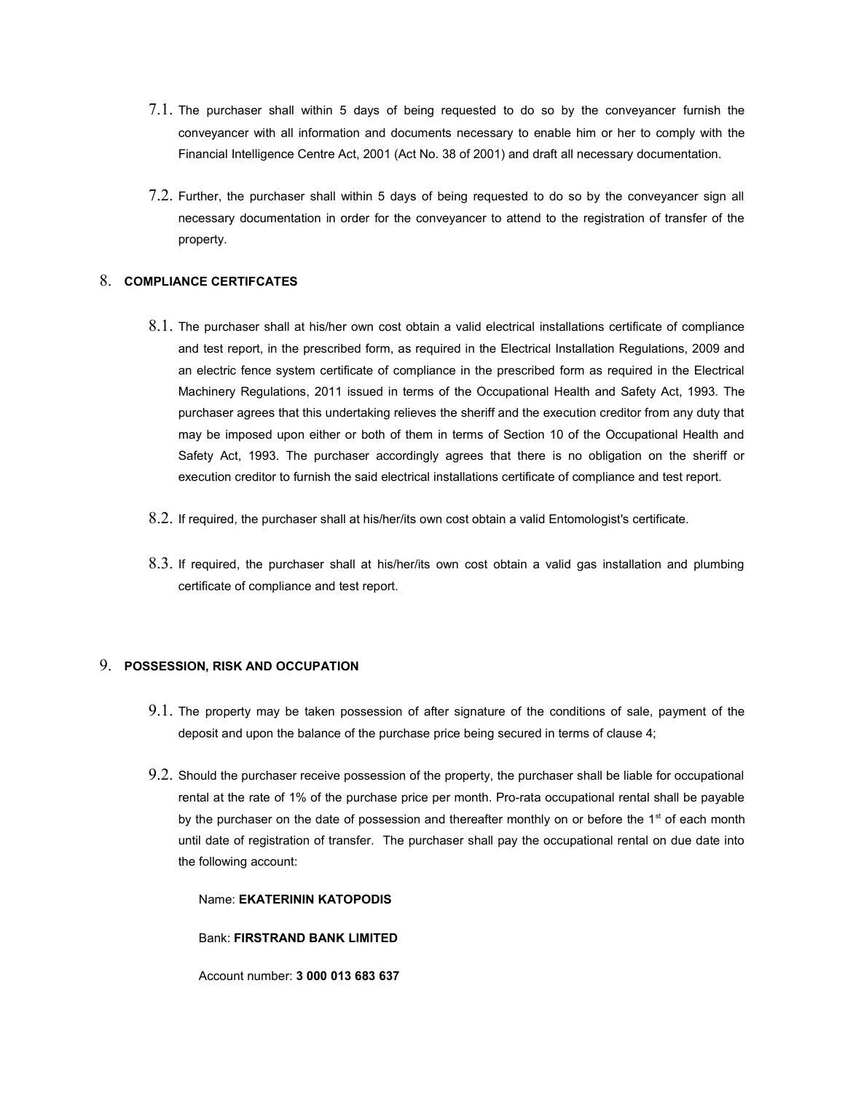- 7.1. The purchaser shall within 5 days of being requested to do so by the conveyancer furnish the conveyancer with all information and documents necessary to enable him or her to comply with the Financial Intelligence Centre Act, 2001 (Act No. 38 of 2001) and draft all necessary documentation.
- 7.2. Further, the purchaser shall within 5 days of being requested to do so by the conveyancer sign all necessary documentation in order for the conveyancer to attend to the registration of transfer of the property.

### 8. COMPLIANCE CERTIFCATES

- 8.1. The purchaser shall at his/her own cost obtain a valid electrical installations certificate of compliance and test report, in the prescribed form, as required in the Electrical Installation Regulations, 2009 and an electric fence system certificate of compliance in the prescribed form as required in the Electrical Machinery Regulations, 2011 issued in terms of the Occupational Health and Safety Act, 1993. The purchaser agrees that this undertaking relieves the sheriff and the execution creditor from any duty that may be imposed upon either or both of them in terms of Section 10 of the Occupational Health and Safety Act, 1993. The purchaser accordingly agrees that there is no obligation on the sheriff or execution creditor to furnish the said electrical installations certificate of compliance and test report.
- 8.2. If required, the purchaser shall at his/her/its own cost obtain a valid Entomologist's certificate.
- 8.3. If required, the purchaser shall at his/her/its own cost obtain a valid gas installation and plumbing certificate of compliance and test report.

#### 9. POSSESSION, RISK AND OCCUPATION

- 9.1. The property may be taken possession of after signature of the conditions of sale, payment of the deposit and upon the balance of the purchase price being secured in terms of clause 4;
- 9.2. Should the purchaser receive possession of the property, the purchaser shall be liable for occupational rental at the rate of 1% of the purchase price per month. Pro-rata occupational rental shall be payable by the purchaser on the date of possession and thereafter monthly on or before the 1<sup>st</sup> of each month until date of registration of transfer. The purchaser shall pay the occupational rental on due date into the following account:

Name: EKATERININ KATOPODIS

Bank: FIRSTRAND BANK LIMITED

Account number: 3 000 013 683 637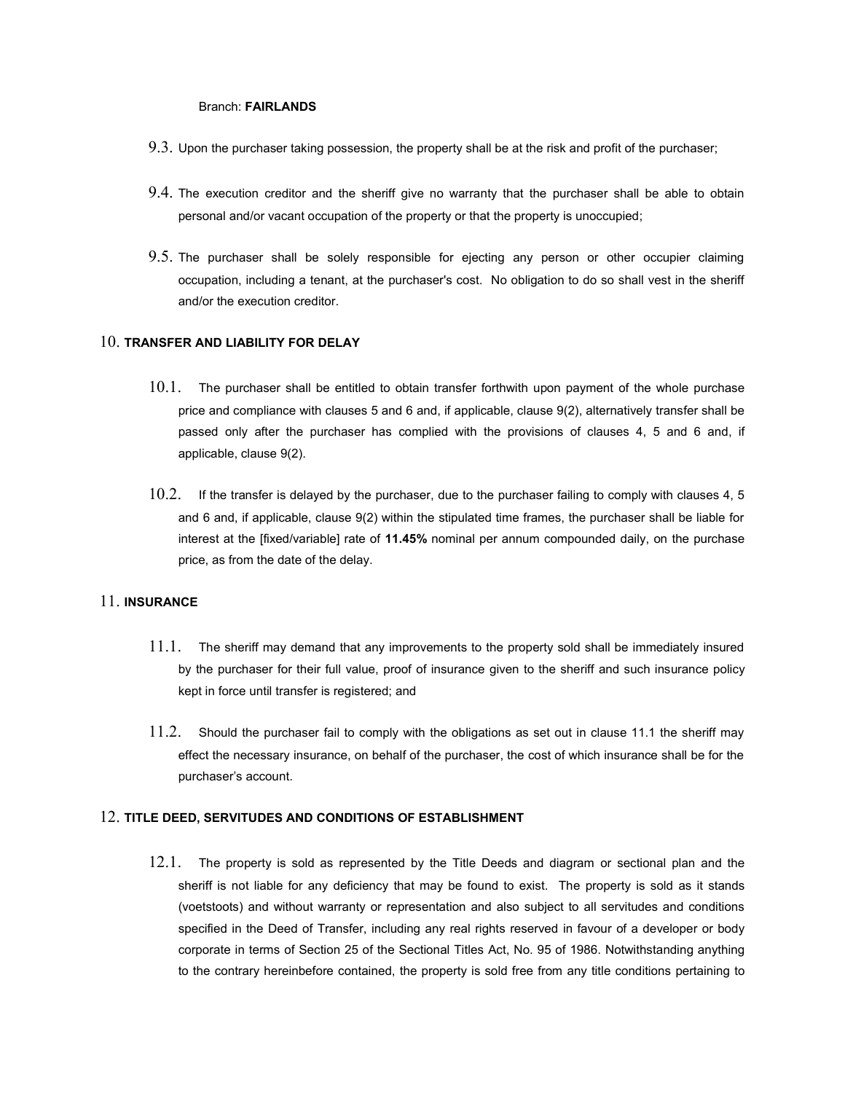#### Branch: FAIRLANDS

- 9.3. Upon the purchaser taking possession, the property shall be at the risk and profit of the purchaser;
- 9.4. The execution creditor and the sheriff give no warranty that the purchaser shall be able to obtain personal and/or vacant occupation of the property or that the property is unoccupied;
- 9.5. The purchaser shall be solely responsible for ejecting any person or other occupier claiming occupation, including a tenant, at the purchaser's cost. No obligation to do so shall vest in the sheriff and/or the execution creditor.

### 10. TRANSFER AND LIABILITY FOR DELAY

- 10.1. The purchaser shall be entitled to obtain transfer forthwith upon payment of the whole purchase price and compliance with clauses 5 and 6 and, if applicable, clause 9(2), alternatively transfer shall be passed only after the purchaser has complied with the provisions of clauses 4, 5 and 6 and, if applicable, clause 9(2).
- 10.2. If the transfer is delayed by the purchaser, due to the purchaser failing to comply with clauses 4, 5 and 6 and, if applicable, clause 9(2) within the stipulated time frames, the purchaser shall be liable for interest at the [fixed/variable] rate of 11.45% nominal per annum compounded daily, on the purchase price, as from the date of the delay.

### 11. INSURANCE

- $11.1.$  The sheriff may demand that any improvements to the property sold shall be immediately insured by the purchaser for their full value, proof of insurance given to the sheriff and such insurance policy kept in force until transfer is registered; and
- 11.2. Should the purchaser fail to comply with the obligations as set out in clause 11.1 the sheriff may effect the necessary insurance, on behalf of the purchaser, the cost of which insurance shall be for the purchaser's account.

#### 12. TITLE DEED, SERVITUDES AND CONDITIONS OF ESTABLISHMENT

12.1. The property is sold as represented by the Title Deeds and diagram or sectional plan and the sheriff is not liable for any deficiency that may be found to exist. The property is sold as it stands (voetstoots) and without warranty or representation and also subject to all servitudes and conditions specified in the Deed of Transfer, including any real rights reserved in favour of a developer or body corporate in terms of Section 25 of the Sectional Titles Act, No. 95 of 1986. Notwithstanding anything to the contrary hereinbefore contained, the property is sold free from any title conditions pertaining to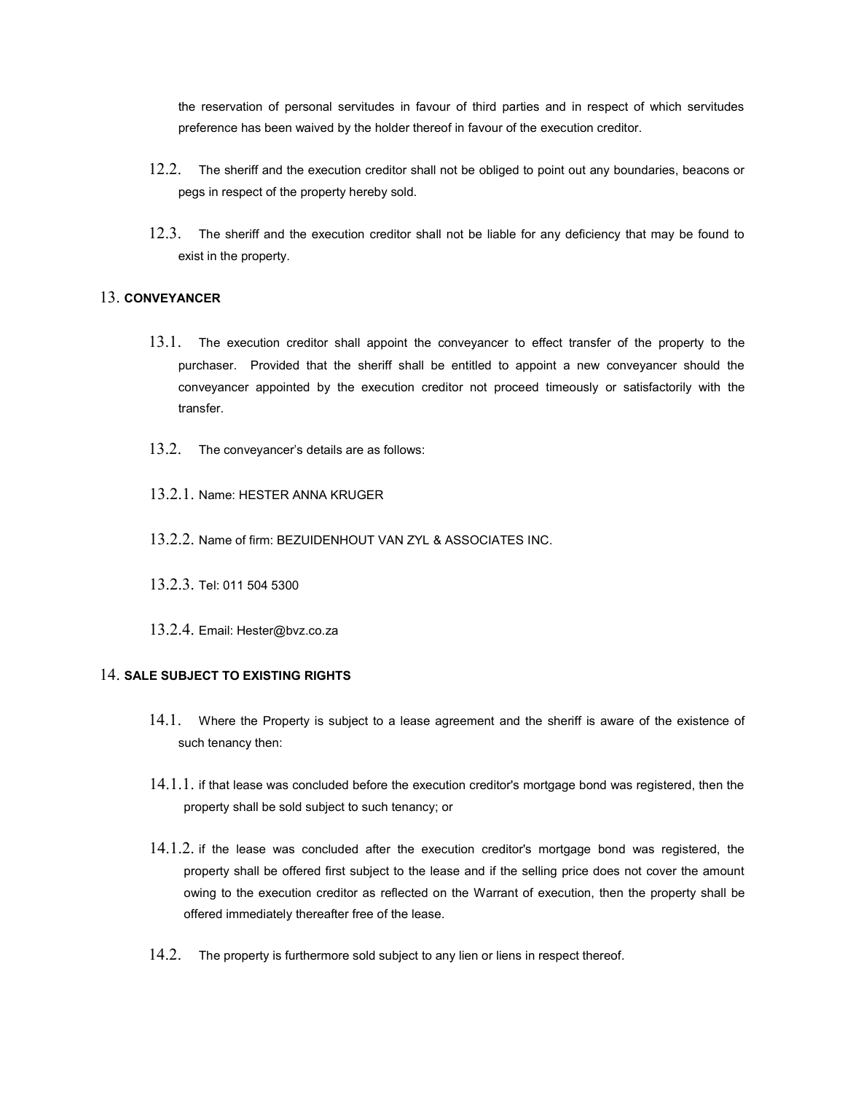the reservation of personal servitudes in favour of third parties and in respect of which servitudes preference has been waived by the holder thereof in favour of the execution creditor.

- 12.2. The sheriff and the execution creditor shall not be obliged to point out any boundaries, beacons or pegs in respect of the property hereby sold.
- 12.3. The sheriff and the execution creditor shall not be liable for any deficiency that may be found to exist in the property.

### 13. CONVEYANCER

- 13.1. The execution creditor shall appoint the conveyancer to effect transfer of the property to the purchaser. Provided that the sheriff shall be entitled to appoint a new conveyancer should the conveyancer appointed by the execution creditor not proceed timeously or satisfactorily with the transfer.
- 13.2. The conveyancer's details are as follows:
- 13.2.1. Name: HESTER ANNA KRUGER
- 13.2.2. Name of firm: BEZUIDENHOUT VAN ZYL & ASSOCIATES INC.
- 13.2.3. Tel: 011 504 5300
- 13.2.4. Email: Hester@bvz.co.za

### 14. SALE SUBJECT TO EXISTING RIGHTS

- 14.1. Where the Property is subject to a lease agreement and the sheriff is aware of the existence of such tenancy then:
- $14.1.1.1$  if that lease was concluded before the execution creditor's mortgage bond was registered, then the property shall be sold subject to such tenancy; or
- 14.1.2. if the lease was concluded after the execution creditor's mortgage bond was registered, the property shall be offered first subject to the lease and if the selling price does not cover the amount owing to the execution creditor as reflected on the Warrant of execution, then the property shall be offered immediately thereafter free of the lease.
- 14.2. The property is furthermore sold subject to any lien or liens in respect thereof.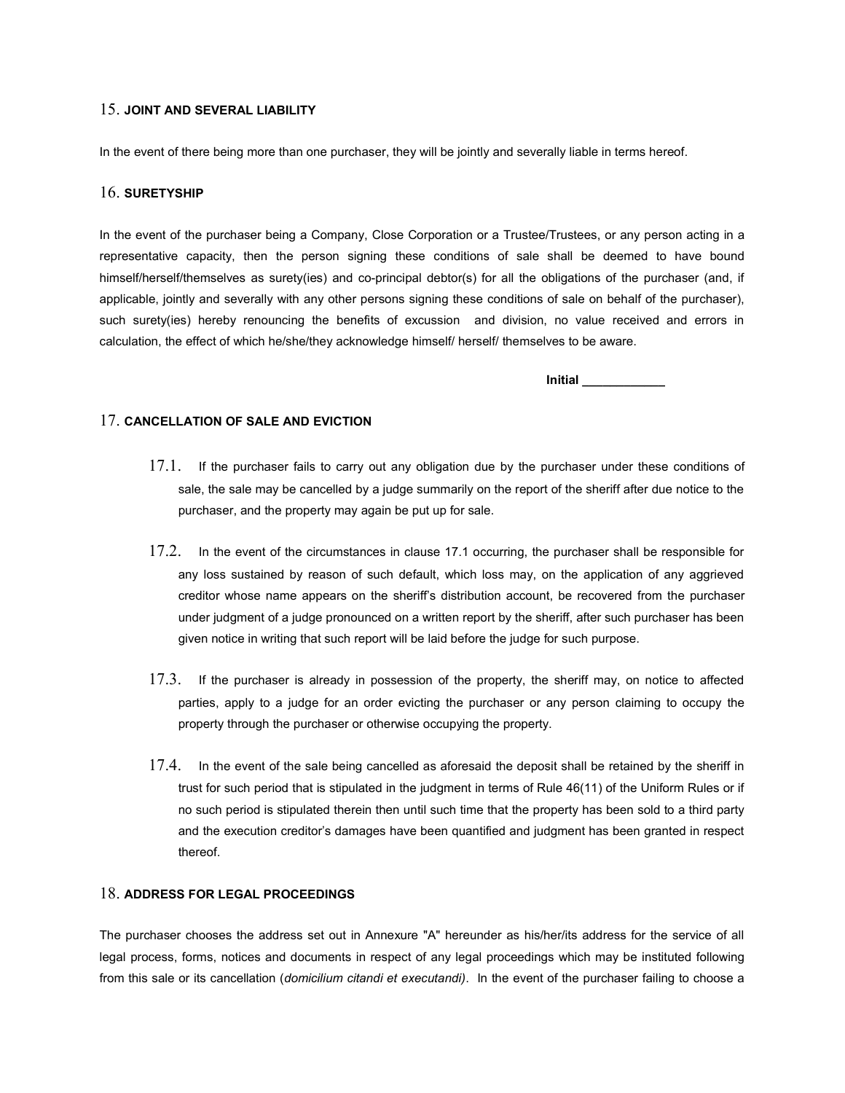### 15. JOINT AND SEVERAL LIABILITY

In the event of there being more than one purchaser, they will be jointly and severally liable in terms hereof.

### 16. SURETYSHIP

In the event of the purchaser being a Company, Close Corporation or a Trustee/Trustees, or any person acting in a representative capacity, then the person signing these conditions of sale shall be deemed to have bound himself/herself/themselves as surety(ies) and co-principal debtor(s) for all the obligations of the purchaser (and, if applicable, jointly and severally with any other persons signing these conditions of sale on behalf of the purchaser), such surety(ies) hereby renouncing the benefits of excussion and division, no value received and errors in calculation, the effect of which he/she/they acknowledge himself/ herself/ themselves to be aware.

Initial \_\_\_\_\_\_\_\_\_\_\_\_

#### 17. CANCELLATION OF SALE AND EVICTION

- 17.1. If the purchaser fails to carry out any obligation due by the purchaser under these conditions of sale, the sale may be cancelled by a judge summarily on the report of the sheriff after due notice to the purchaser, and the property may again be put up for sale.
- 17.2. In the event of the circumstances in clause 17.1 occurring, the purchaser shall be responsible for any loss sustained by reason of such default, which loss may, on the application of any aggrieved creditor whose name appears on the sheriff's distribution account, be recovered from the purchaser under judgment of a judge pronounced on a written report by the sheriff, after such purchaser has been given notice in writing that such report will be laid before the judge for such purpose.
- 17.3. If the purchaser is already in possession of the property, the sheriff may, on notice to affected parties, apply to a judge for an order evicting the purchaser or any person claiming to occupy the property through the purchaser or otherwise occupying the property.
- 17.4. In the event of the sale being cancelled as aforesaid the deposit shall be retained by the sheriff in trust for such period that is stipulated in the judgment in terms of Rule 46(11) of the Uniform Rules or if no such period is stipulated therein then until such time that the property has been sold to a third party and the execution creditor's damages have been quantified and judgment has been granted in respect thereof.

### 18. ADDRESS FOR LEGAL PROCEEDINGS

The purchaser chooses the address set out in Annexure "A" hereunder as his/her/its address for the service of all legal process, forms, notices and documents in respect of any legal proceedings which may be instituted following from this sale or its cancellation (domicilium citandi et executandi). In the event of the purchaser failing to choose a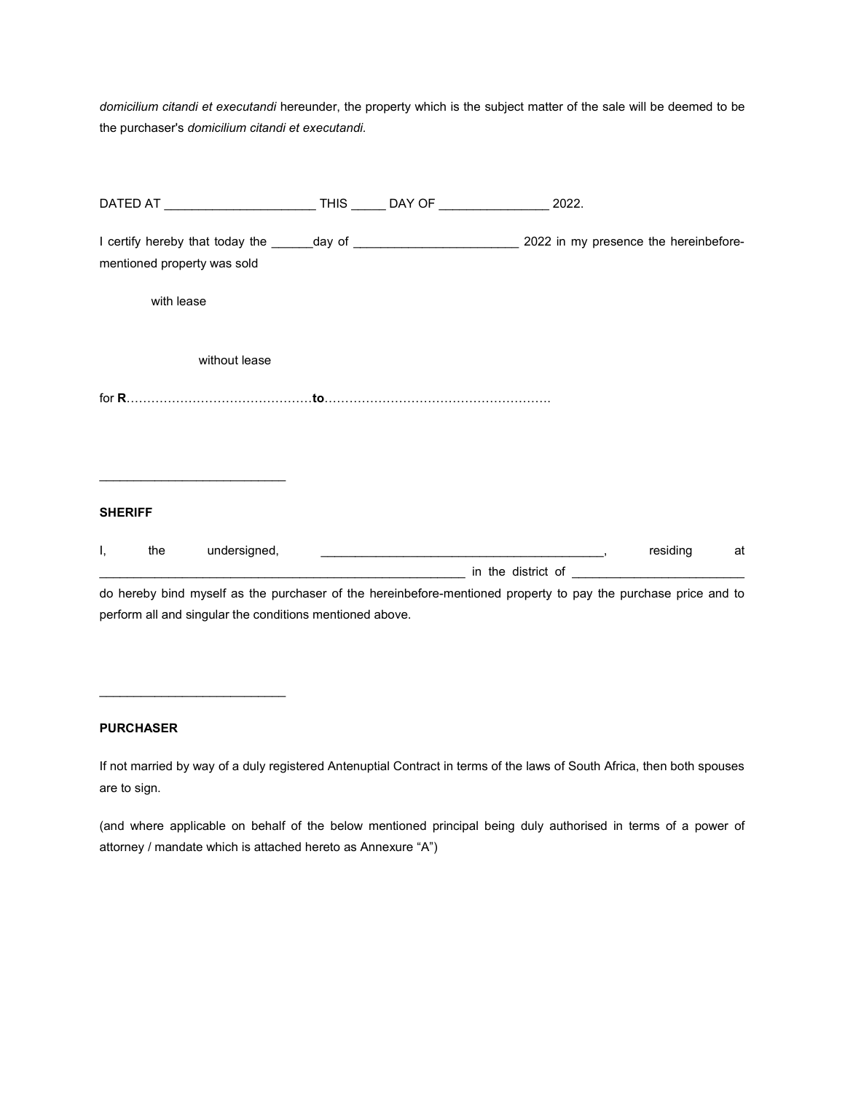domicilium citandi et executandi hereunder, the property which is the subject matter of the sale will be deemed to be the purchaser's domicilium citandi et executandi.

|                |            |                                                          |  | DATED AT ______________________________THIS _______ DAY OF _____________________ 2022.                         |             |  |
|----------------|------------|----------------------------------------------------------|--|----------------------------------------------------------------------------------------------------------------|-------------|--|
|                |            | mentioned property was sold                              |  |                                                                                                                |             |  |
|                | with lease |                                                          |  |                                                                                                                |             |  |
|                |            | without lease                                            |  |                                                                                                                |             |  |
|                |            |                                                          |  |                                                                                                                |             |  |
|                |            |                                                          |  |                                                                                                                |             |  |
| <b>SHERIFF</b> |            |                                                          |  |                                                                                                                |             |  |
| Ι,             |            |                                                          |  |                                                                                                                | residing at |  |
|                |            | perform all and singular the conditions mentioned above. |  | do hereby bind myself as the purchaser of the hereinbefore-mentioned property to pay the purchase price and to |             |  |

## PURCHASER

 $\mathcal{L}_\text{max}$  , and the set of the set of the set of the set of the set of the set of the set of the set of the set of the set of the set of the set of the set of the set of the set of the set of the set of the set of the

If not married by way of a duly registered Antenuptial Contract in terms of the laws of South Africa, then both spouses are to sign.

(and where applicable on behalf of the below mentioned principal being duly authorised in terms of a power of attorney / mandate which is attached hereto as Annexure "A")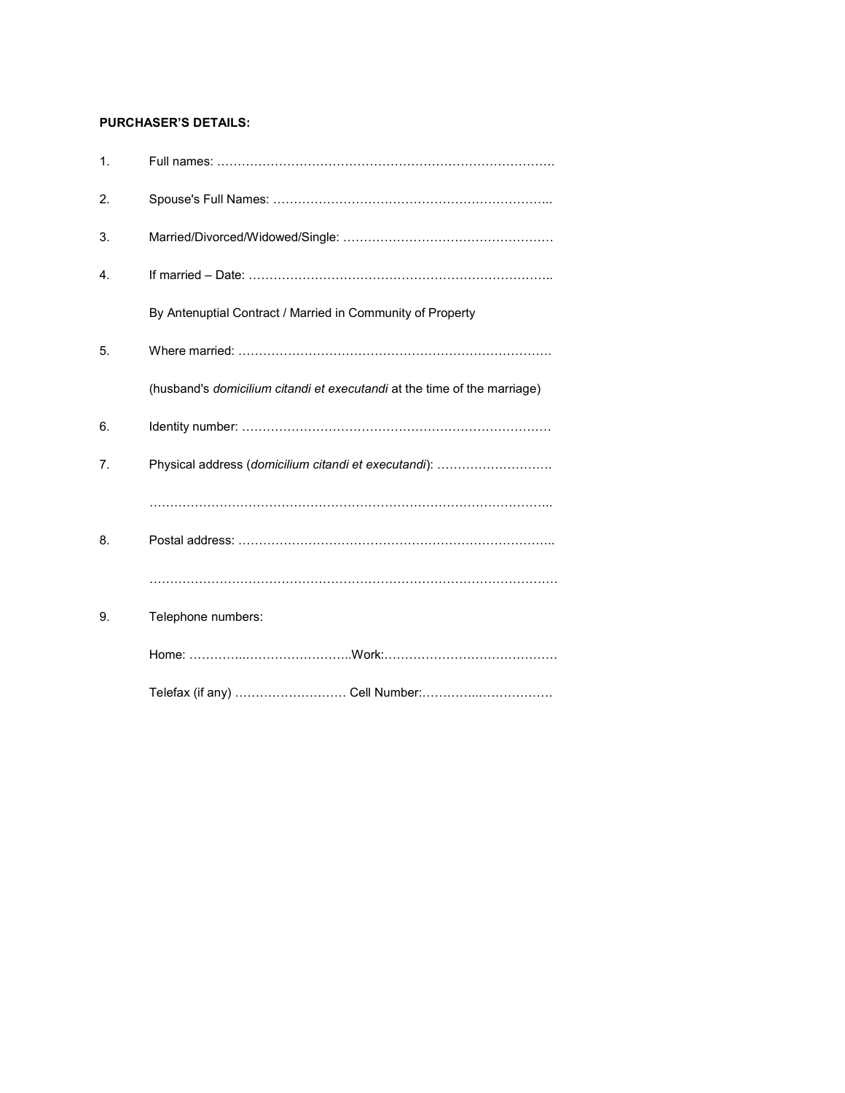### PURCHASER'S DETAILS:

| 1. |                                                                          |
|----|--------------------------------------------------------------------------|
| 2. |                                                                          |
| 3. |                                                                          |
| 4. |                                                                          |
|    | By Antenuptial Contract / Married in Community of Property               |
| 5. |                                                                          |
|    | (husband's domicilium citandi et executandi at the time of the marriage) |
| 6. |                                                                          |
| 7. | Physical address (domicilium citandi et executandi):                     |
|    |                                                                          |
| 8. |                                                                          |
|    |                                                                          |
| 9. | Telephone numbers:                                                       |
|    |                                                                          |
|    |                                                                          |